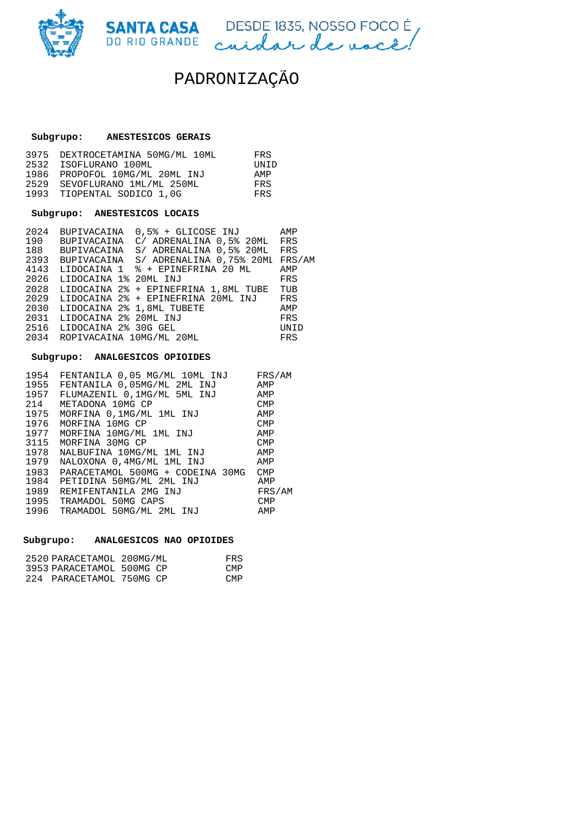

SANTA CASA DESDE 1835, NOSSO FOCOÉ

# **Subgrupo: ANESTESICOS GERAIS**

| 3975 DEXTROCETAMINA 50MG/ML 10ML | FRS.          |
|----------------------------------|---------------|
| 2532 ISOFLURANO 100ML            | <b>TINT D</b> |
| 1986 PROPOFOL 10MG/ML 20ML INJ   | AMP           |
| 2529 SEVOFLURANO 1ML/ML 250ML    | <b>FRS</b>    |
| 1993 TIOPENTAL SODICO 1,0G       | <b>FRS</b>    |

#### **Subgrupo: ANESTESICOS LOCAIS**

| 2024 | BUPIVACAINA              | 0,5% + GLICOSE INJ                   | AMP        |
|------|--------------------------|--------------------------------------|------------|
| 190  | BUPIVACAINA              | C/ ADRENALINA 0.5% 20ML              | <b>FRS</b> |
| 188  | BUPIVACAINA              | S/ ADRENALINA 0.5% 20ML              | FRS        |
|      | 2393 BUPIVACAÍNA         | S/ ADRENALINA 0.75% 20MI             | FRS/AM     |
| 4143 |                          | LIDOCAINA 1 % + EPINEFRINA 20 ML     | AMP        |
| 2026 | LIDOCAINA 1% 20ML INJ    |                                      | <b>FRS</b> |
| 2028 |                          | LIDOCAINA 2% + EPINEFRINA 1,8ML TUBE | TUB        |
| 2029 |                          | LIDOCAINA 2% + EPINEFRINA 20ML INJ   | FRS        |
| 2030 |                          | LIDOCAINA 2% 1,8ML TUBETE            | AMP        |
| 2031 | LIDOCAINA 2% 20ML INJ    |                                      | FRS        |
| 2516 | LIDOCAINA 2% 30G GEL     |                                      | UNID       |
| 2034 | ROPIVACAINA 10MG/ML 20ML |                                      | FRS        |
|      |                          |                                      |            |

### **Subgrupo: ANALGESICOS OPIOIDES**

| 1954 | FENTANILA 0,05 MG/ML 10ML INJ    | FRS/AM     |
|------|----------------------------------|------------|
| 1955 | FENTANILA 0,05MG/ML 2ML INJ      | AMP        |
| 1957 | FLUMAZENIL 0.1MG/ML 5ML INJ      | AMP        |
| 214  | METADONA 10MG CP                 | <b>CMP</b> |
| 1975 | MORFINA 0.1MG/ML 1ML INJ         | AMP        |
| 1976 | MORFINA 10MG CP                  | <b>CMP</b> |
|      | 1977 MORFINA 10MG/ML 1ML INJ     | AMP        |
|      | 3115 MORFINA 30MG CP             | <b>CMP</b> |
| 1978 | NALBUFINA 10MG/ML 1ML INJ        | AMP        |
| 1979 | NALOXONA 0,4MG/ML 1ML INJ        | AMP        |
| 1983 | PARACETAMOL 500MG + CODEINA 30MG | <b>CMP</b> |
| 1984 | PETIDINA 50MG/ML 2ML INJ         | AMP        |
| 1989 | REMIFENTANILA 2MG INJ            | FRS/AM     |
| 1995 | TRAMADOL 50MG CAPS               | <b>CMP</b> |
| 1996 | TRAMADOL 50MG/ML 2ML INJ         | AMP        |

# **Subgrupo: ANALGESICOS NAO OPIOIDES**

| 2520 PARACETAMOL 200MG/ML | FRS  |
|---------------------------|------|
| 3953 PARACETAMOL 500MG CP | CMP. |
| 224 PARACETAMOL 750MG CP  | CMP. |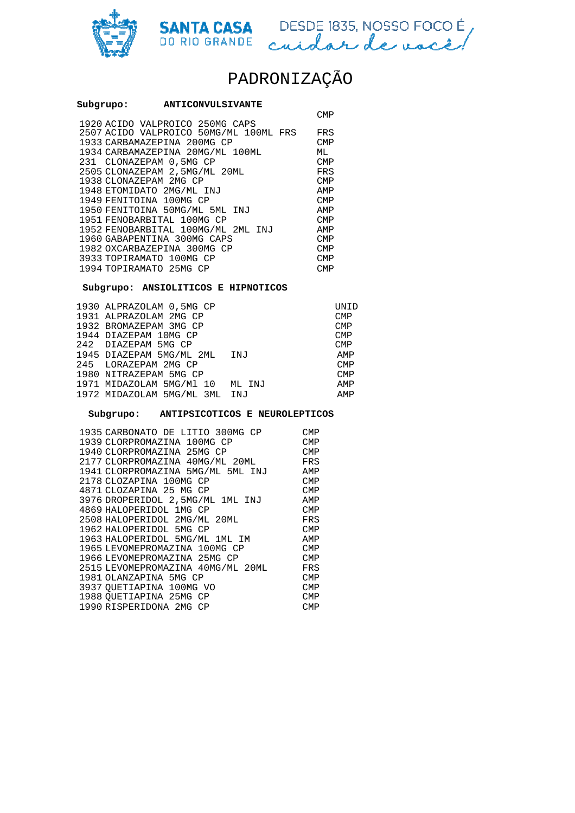

SANTA CASA DESDE 1835, NOSSO FOCOÉ

# PADRONIZAÇÃO

| Subgrupo: | <b>ANTICONVULSIVANTE</b>               |            |
|-----------|----------------------------------------|------------|
|           |                                        | CMP        |
|           | 1920 ACIDO VALPROICO 250MG CAPS        |            |
|           | 2507 ACIDO VALPROICO 50MG/ML 100ML FRS | FRS        |
|           | 1933 CARBAMAZEPINA 200MG CP            | CMP        |
|           | 1934 CARBAMAZEPINA 20MG/ML 100ML       | МL         |
|           | 231 CLONAZEPAM 0,5MG CP                | <b>CMP</b> |
|           | 2505 CLONAZEPAM 2,5MG/ML 20ML          | FRS        |
|           | 1938 CLONAZEPAM 2MG CP                 | <b>CMP</b> |
|           | 1948 ETOMIDATO 2MG/ML INJ              | AMP        |
|           | 1949 FENITOINA 100MG CP                | <b>CMP</b> |
|           | 1950 FENITOINA 50MG/ML 5ML INJ         | AMP        |
|           | 1951 FENOBARBITAL 100MG CP             | CMP        |
|           | 1952 FENOBARBITAL 100MG/ML 2ML INJ     | AMP        |
|           | 1960 GABAPENTINA 300MG CAPS            | <b>CMP</b> |
|           | 1982 OXCARBAZEPINA 300MG CP            | CMP        |
|           | 3933 TOPIRAMATO 100MG CP               | CMP        |
|           | 1994 TOPIRAMATO 25MG CP                | <b>CMP</b> |

### **Subgrupo: ANSIOLITICOS E HIPNOTICOS**

| 1930 ALPRAZOLAM 0,5MG CP     |        | UNID       |
|------------------------------|--------|------------|
| 1931 ALPRAZOLAM 2MG CP       |        | <b>CMP</b> |
| 1932 BROMAZEPAM 3MG CP       |        | <b>CMP</b> |
| 1944 DIAZEPAM 10MG CP        |        | <b>CMP</b> |
| 242 DIAZEPAM 5MG CP          |        | <b>CMP</b> |
| 1945 DIAZEPAM 5MG/ML 2ML INJ |        | AMP        |
| 245 LORAZEPAM 2MG CP         |        | <b>CMP</b> |
| 1980 NITRAZEPAM 5MG CP       |        | <b>CMP</b> |
| 1971 MIDAZOLAM 5MG/Ml 10     | ML INJ | AMP        |
| 1972 MIDAZOLAM 5MG/ML 3ML    | INJ    | AMP        |
|                              |        |            |

#### **Subgrupo: ANTIPSICOTICOS E NEUROLEPTICOS**

| 1935 CARBONATO DE LITIO 300MG CP  | CMP        |
|-----------------------------------|------------|
| 1939 CLORPROMAZINA 100MG CP       | <b>CMP</b> |
| 1940 CLORPROMAZINA 25MG CP        | <b>CMP</b> |
| 2177 CLORPROMAZINA 40MG/ML 20ML   | FRS        |
| 1941 CLORPROMAZINA 5MG/ML 5ML INJ | AMP        |
| 2178 CLOZAPINA 100MG CP           | <b>CMP</b> |
| 4871 CLOZAPINA 25 MG CP           | <b>CMP</b> |
| 3976 DROPERIDOL 2,5MG/ML 1ML INJ  | AMP        |
| 4869 HALOPERIDOL 1MG CP           | <b>CMP</b> |
| 2508 HALOPERIDOL 2MG/ML 20ML      | FRS        |
| 1962 HALOPERIDOL 5MG CP           | <b>CMP</b> |
| 1963 HALOPERIDOL 5MG/ML 1ML IM    | AMP        |
| 1965 LEVOMEPROMAZINA 100MG CP     | <b>CMP</b> |
| 1966 LEVOMEPROMAZINA 25MG CP      | CMP        |
| 2515 LEVOMEPROMAZINA 40MG/ML 20ML | FRS        |
| 1981 OLANZAPINA 5MG CP            | <b>CMP</b> |
| 3937 QUETIAPINA 100MG VO          | <b>CMP</b> |
| 1988 OUETIAPINA 25MG CP           | <b>CMP</b> |
| 1990 RISPERIDONA 2MG CP           | CMP        |
|                                   |            |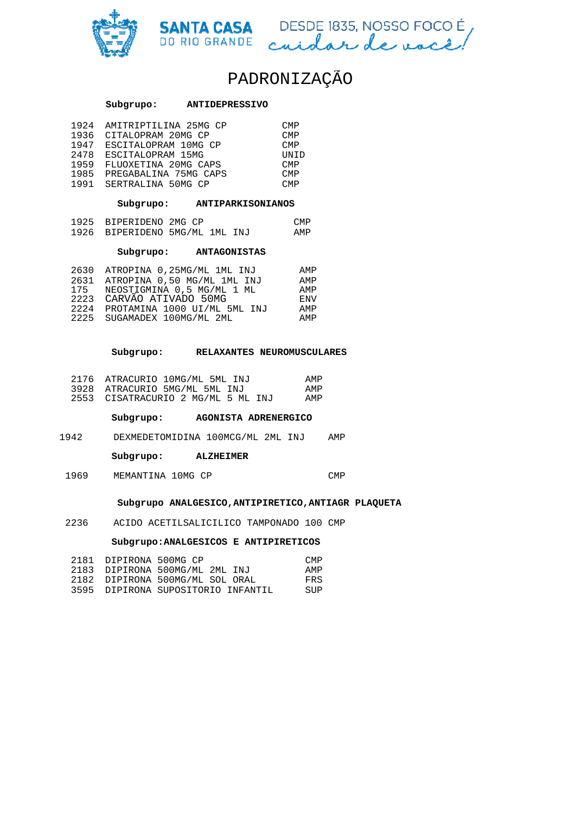



# **Subgrupo: ANTIDEPRESSIVO**

| 1924 | AMITRIPTILINA 25MG CP | CMP  |
|------|-----------------------|------|
| 1936 | CITALOPRAM 20MG CP    | CMP  |
| 1947 | ESCITALOPRAM 10MG CP  | CMP  |
| 2478 | ESCITALOPRAM 15MG     | UNID |
| 1959 | FLUOXETINA 20MG CAPS  | CMP  |
| 1985 | PREGABALINA 75MG CAPS | CMP  |
| 1991 | SERTRALINA 50MG CP    | CMP  |

 **Subgrupo: ANTIPARKISONIANO ANTIPARKISONIANOS** 

| 1925 BIPERIDENO 2MG CP |                                | CMP |
|------------------------|--------------------------------|-----|
|                        | 1926 BIPERIDENO 5MG/ML 1ML INJ | AMP |

#### **Subgrupo: ANTAGONISTAS**

| 2630 ATROPINA 0,25MG/ML 1ML INJ   | AMP                 |
|-----------------------------------|---------------------|
| ATROPINA 0,50 MG/ML 1ML INJ       | AMP                 |
| NEOSTIGMINA 0.5 MG/ML 1 ML<br>175 | AMP                 |
|                                   | <b>F.NV</b>         |
| PROTAMINA 1000 UI/ML 5ML INJ      | AMP                 |
| 2225 SUGAMADEX 100MG/ML 2ML       | AMP                 |
|                                   | CARVÃO ATIVADO 50MG |

#### **Subgrupo: RELAXANTES NEUROMUSCULARES**

| 2176 ATRACURIO 10MG/ML 5ML INJ     | AMP |
|------------------------------------|-----|
| 3928 ATRACURIO 5MG/ML 5ML INJ      | AMP |
| 2553 CISATRACURIO 2 MG/ML 5 ML INJ | AMP |

 **Subgrupo: AGONISTA ADRENERGICO DRENERGICO**

1942 DEXMEDETOMIDINA 100MCG/ML 2ML INJ INJ AMP

 **Subgrupo: ALZHEIMER** 

1969 MEMANTINA 10MG CP CMP

#### **Subgrupo ANALGESICO,ANTIPIRETICO,ANTIAGR PLAQUETA**

2236 ACIDO ACETILSALICILICO TAMPONADO 100 CMP

#### $\texttt{Subgrupo:ANALGESTCOS}$  **E** ANTIPIRETICOS

| 2181 DIPIRONA 500MG CP |                                    | CMP. |
|------------------------|------------------------------------|------|
|                        | 2183 DIPIRONA 500MG/ML 2ML INJ     | AMP  |
|                        | 2182 DIPIRONA 500MG/ML SOL ORAL    | FRS  |
|                        | 3595 DIPIRONA SUPOSITORIO INFANTIL | SUP  |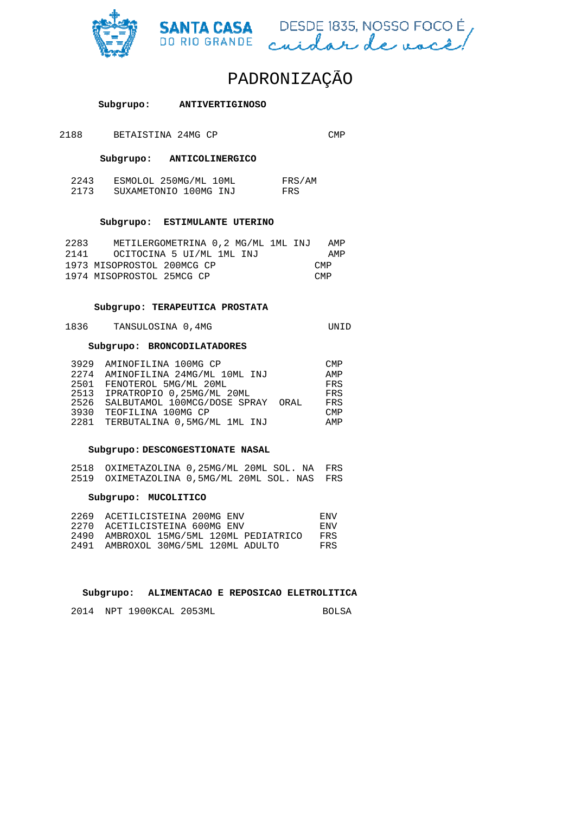



| <b>ANTIVERTIGINOSO</b> |
|------------------------|
|                        |

2188 BETAISTINA 24MG CP CMP

 **Subgrupo: ANTICOLINERGICO**

| 2243 | ESMOLOL 250MG/ML 10ML | FRS/AM |
|------|-----------------------|--------|
| 2173 | SUXAMETONIO 100MG INJ | FRS    |

#### **Subgrupo: ESTIMULANTE UTERINO**

| 2283 | METILERGOMETRINA 0,2 MG/ML 1ML INJ |  | AMP        |
|------|------------------------------------|--|------------|
| 2141 | OCITOCINA 5 UI/ML 1ML INJ          |  | AMP        |
|      | 1973 MISOPROSTOL 200MCG CP         |  | <b>CMP</b> |
|      | 1974 MISOPROSTOL 25MCG CP          |  | <b>CMP</b> |

### **Subgrupo: TERAPEUTICA PROSTATA**

| 1836<br>TANSULOSINA 0,4MG |  | UNID |
|---------------------------|--|------|
|---------------------------|--|------|

#### **Subgrupo: BRONCODILATADORES**

| 3929 | AMINOFILINA 100MG CP              | <b>CMP</b> |
|------|-----------------------------------|------------|
| 2274 | AMINOFILINA 24MG/ML 10ML INJ      | AMP        |
|      | 2501 FENOTEROL 5MG/ML 20ML        | FRS        |
| 2513 | IPRATROPIO 0.25MG/ML 20ML         | FRS        |
| 2526 | SALBUTAMOL 100MCG/DOSE SPRAY ORAL | FRS        |
|      | 3930 TEOFILINA 100MG CP           | <b>CMP</b> |
|      | 2281 TERBUTALINA 0,5MG/ML 1ML INJ | AMP        |

#### **Subgrupo: DESCONGESTIONATE NASAL**

| 2518 OXIMETAZOLINA 0,25MG/ML 20ML SOL. NA FRS |  |  |  |
|-----------------------------------------------|--|--|--|
| 2519 OXIMETAZOLINA 0,5MG/ML 20ML SOL. NAS FRS |  |  |  |

### **Subgrupo: MUCOLITICO**

| 2269 | ACETILCISTEINA 200MG ENV           | F.NV |
|------|------------------------------------|------|
| 2270 | ACETILCISTEINA 600MG ENV           | ENV. |
| 2490 | AMBROXOL 15MG/5ML 120ML PEDIATRICO | FRS. |
| 2491 | AMBROXOL 30MG/5ML 120ML ADULTO     | FRS. |

#### **Subgrupo: ALIMENTACAO E REPOSICAO ELETROLITI ELETROLITICA**

2014 NPT 1900KCAL 2053ML BOLSA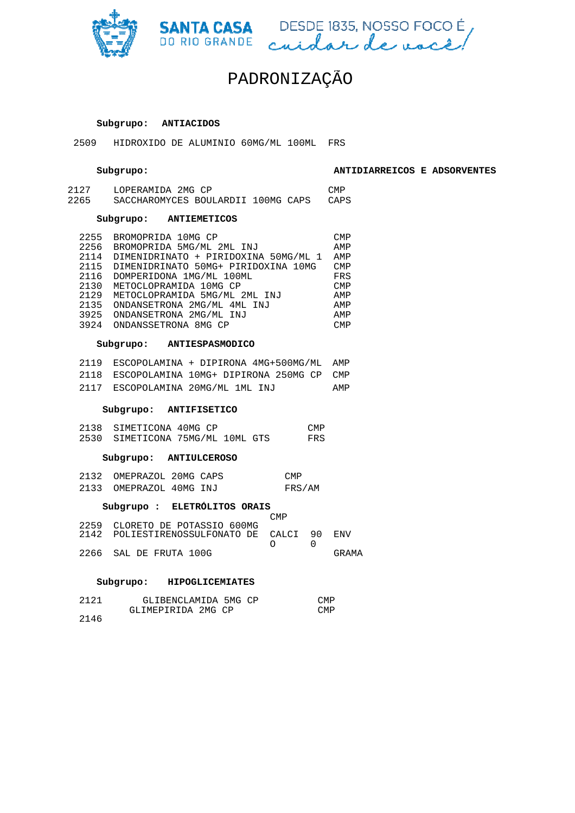





# **Subgrupo: ANTIACIDOS**

2509 HIDROXIDO DE ALUMINIO 60MG/ML 100ML 100ML FRS

#### **Subgrupo:**

**ANTIDIARREICOS E ADSORVENTES**

| 2127 | LOPERAMIDA 2MG CP                  |  | CMP. |
|------|------------------------------------|--|------|
| 2265 | SACCHAROMYCES BOULARDII 100MG CAPS |  | CAPS |

# **Subgrupo: ANTIEMETICOS**

| 2255 | BROMOPRIDA 10MG CP                   | <b>CMP</b> |
|------|--------------------------------------|------------|
| 2256 | BROMOPRIDA 5MG/ML 2ML INJ            | AMP        |
| 2114 | DIMENIDRINATO + PIRIDOXINA 50MG/ML 1 | AMP        |
| 2115 | DIMENIDRINATO 50MG+ PIRIDOXINA 10MG  | <b>CMP</b> |
| 2116 | DOMPERIDONA 1MG/ML 100ML             | FRS        |
| 2130 | METOCLOPRAMIDA 10MG CP               | <b>CMP</b> |
| 2129 | METOCLOPRAMIDA 5MG/ML 2ML INJ        | AMP        |
| 2135 | ONDANSETRONA 2MG/ML 4ML INJ          | AMP        |
| 3925 | ONDANSETRONA 2MG/ML INJ              | AMP        |
| 3924 | ONDANSSETRONA 8MG CP                 | <b>CMP</b> |
|      |                                      |            |

### **Subgrupo: ANTIESPASMODICO**

|  | 2119 ESCOPOLAMINA + DIPIRONA 4MG+500MG/ML AMP |     |
|--|-----------------------------------------------|-----|
|  | 2118 ESCOPOLAMINA 10MG+ DIPIRONA 250MG CP CMP |     |
|  | 2117 ESCOPOLAMINA 20MG/ML 1ML INJ             | AMP |

#### **Subgrupo: ANTIFISETICO**

| 2138 SIMETICONA 40MG CP          |  | CMP |
|----------------------------------|--|-----|
| 2530 SIMETICONA 75MG/ML 10ML GTS |  | FRS |

#### **Subgrupo: ANTIULCEROSO**

| 2132 OMEPRAZOL 20MG CAPS |  | <b>CMP</b> |
|--------------------------|--|------------|
| 2133 OMEPRAZOL 40MG INJ  |  | FRS/AM     |

#### **Subgrupo : ELETRÓLITOS ORAIS** –<br>CMP

|                                         | $\sqrt{11}$                       |       |
|-----------------------------------------|-----------------------------------|-------|
| 2259 CLORETO DE POTASSIO 600MG          |                                   |       |
| 2142 POLIESTIRENOSSULFONATO DE CALCI 90 |                                   | ENV   |
|                                         | $\cap$ $\qquad$ $\qquad$ $\qquad$ |       |
| 2266 SAL DE FRUTA 100G                  |                                   | GRAMA |

#### **Subgrupo: HIPOGLICEMIATES**

| 2121 | GLIBENCLAMIDA 5MG CP | <b>CMP</b> |
|------|----------------------|------------|
|      | GLIMEPIRIDA 2MG CP   | <b>CMP</b> |
| 2146 |                      |            |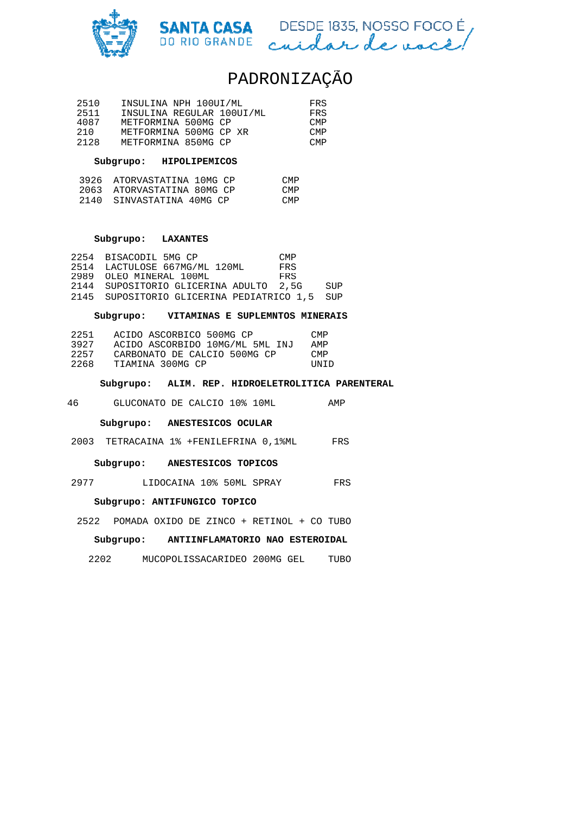



| 2510 | INSULINA NPH 100UI/ML     | FRS.       |
|------|---------------------------|------------|
| 2511 | INSULINA REGULAR 100UI/ML | FRS.       |
| 4087 | METFORMINA 500MG CP       | <b>CMP</b> |
| 210  | METFORMINA 500MG CP XR    | <b>CMP</b> |
| 2128 | METFORMINA 850MG CP       | <b>CMP</b> |

# **Subgrupo: HIPOLIPEMICOS**

| 3926 ATORVASTATINA 10MG CP | <b>CMP</b> |
|----------------------------|------------|
| 2063 ATORVASTATINA 80MG CP | <b>CMP</b> |
| 2140 SINVASTATINA 40MG CP  | <b>CMP</b> |

#### **Subgrupo: LAXANTES**

| 2254 BISACODIL 5MG CP         |                                               | <b>CMP</b> |     |
|-------------------------------|-----------------------------------------------|------------|-----|
| 2514 LACTULOSE 667MG/ML 120ML |                                               | FRS        |     |
| 2989 OLEO MINERAL 100ML       |                                               | FRS        |     |
|                               | 2144 SUPOSITORIO GLICERINA ADULTO 2,5G        |            | SUP |
|                               | 2145 SUPOSITORIO GLICERINA PEDIATRICO 1,5 SUP |            |     |

### **Subgrupo: VITAMINAS E SUPLEMNTOS MINERAIS**

| 2251 | ACIDO ASCORBICO 500MG CP        | <b>CMP</b> |
|------|---------------------------------|------------|
| 3927 | ACIDO ASCORBIDO 10MG/ML 5ML INJ | AMP        |
| 2257 | CARBONATO DE CALCIO 500MG CP    | <b>CMP</b> |
| 2268 | TIAMINA 300MG CP                | UNID       |

#### **Subgrupo: ALIM. REP. HIDROELE HIDROELETROLITICA PARENTERAL**

46 GLUCONATO DE CALCIO 10% 10ML 10ML AMP

#### **Subgrupo: ANESTESICOS OCULAR**

2003 TETRACAINA 1% +FENILEFRINA 0,1%ML FRS

#### **Subgrupo: ANESTESICOS TOPICOS**

2977 LIDOCAINA 10% 50ML SPRAY SPRAY FRS

#### **Subgrupo: ANTIFUNGICO TOPICO**

2522 POMADA OXIDO DE ZINCO + RETINOL + CO TUBO

## **Subgrupo: ANTIINFLAMATORIO NAO ESTEROIDAL**

2202 MUCOPOLISSACARIDEO 200MG GEL TUBO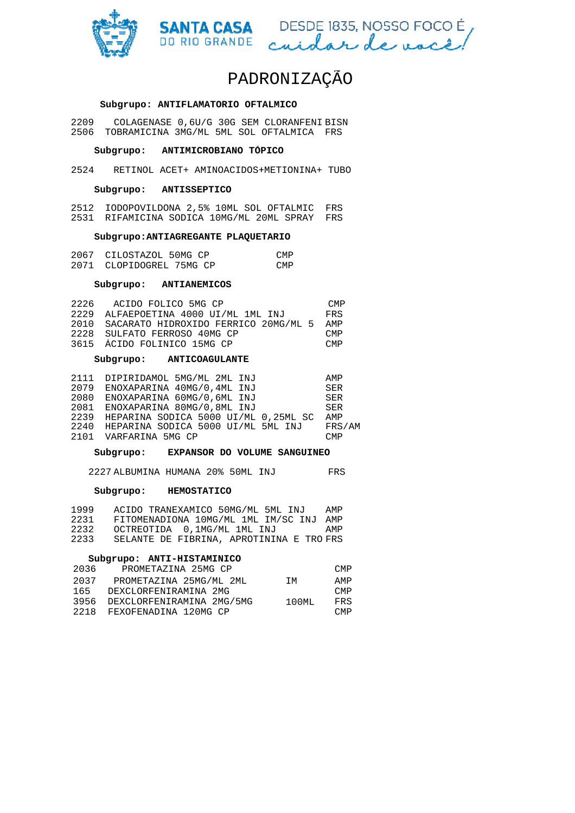



#### **Subgrupo: ANTIFLAMATORIO OFTALMICO**

2209 COLAGENASE 0,6U/G 30G SEM CLORANFENI BISN 2506 TOBRAMICINA 3MG/ML 5ML SOL OFTALMICA FRS

#### **Subgrupo: ANTIMICROBIANO TÓPICO**

2524 RETINOL ACET+ AMINOACIDOS+METIONINA+ TUBO

#### **Subgrupo: ANTISSEPTICO**

2512 IODOPOVILDONA 2,5% 10ML SOL OFTALMIC FRS 2531 RIFAMICINA SODICA 10MG/ML 20ML SPRAY FRS

### **Subgrupo:ANTIAGREGANTE PLAQUETARIO**

| 2067 CILOSTAZOL 50MG CP  | <b>CMP</b> |
|--------------------------|------------|
| 2071 CLOPIDOGREL 75MG CP | <b>CMP</b> |

#### **Subgrupo: ANTIANEMICOS**

| 2226 | ACIDO FOLICO 5MG CP                  | <b>CMP</b> |
|------|--------------------------------------|------------|
| 2229 | ALFAEPOETINA 4000 UI/ML 1ML INJ      | FRS        |
| 2010 | SACARATO HIDROXIDO FERRICO 20MG/ML 5 | AMP        |
|      | 2228 SULFATO FERROSO 40MG CP         | CMP        |
|      | 3615 ÁCIDO FOLINICO 15MG CP          | CMP        |

#### **Subgrupo: ANTICOAGULANTE**

|      | 2111 DIPIRIDAMOL 5MG/ML 2ML INJ           | AMP    |
|------|-------------------------------------------|--------|
| 2079 | ENOXAPARINA 40MG/0.4ML INJ                | SER    |
| 2080 | ENOXAPARINA 60MG/0,6ML INJ                | SER    |
| 2081 | ENOXAPARINA 80MG/0,8ML INJ                | SER    |
|      | 2239 HEPARINA SODICA 5000 UI/ML 0,25ML SC | AMP    |
|      | 2240 HEPARINA SODICA 5000 UI/ML 5ML INJ   | FRS/AM |
|      | 2101 VARFARINA 5MG CP                     | CMP    |

#### **Subgrupo: EXPANSOR DO VOLUME SANGUINEO**

2227 ALBUMINA HUMANA 20% 50ML INJ INJ FRS

# **Subgrupo: HEMOSTATICO**

| 1999 | ACIDO TRANEXAMICO 50MG/ML 5ML INJ        | AMP |
|------|------------------------------------------|-----|
| 2231 | FITOMENADIONA 10MG/ML 1ML IM/SC INJ      | AMP |
| 2232 | OCTREOTIDA 0.1MG/ML 1ML INJ              | AMP |
| 2233 | SELANTE DE FIBRINA, APROTININA E TRO FRS |     |
|      |                                          |     |

### **Subgrupo: ANTI-HISTAMINICO**

| PROMETAZINA 25MG CP       |                            | <b>CMP</b> |
|---------------------------|----------------------------|------------|
| PROMETAZINA 25MG/ML 2ML   | тм                         | AMP        |
| DEXCLORFENIRAMINA 2MG     |                            | <b>CMP</b> |
| DEXCLORFENIRAMINA 2MG/5MG | 100MT.                     | FRS        |
|                           |                            | <b>CMP</b> |
|                           | 2218 FEXOFENADINA 120MG CP |            |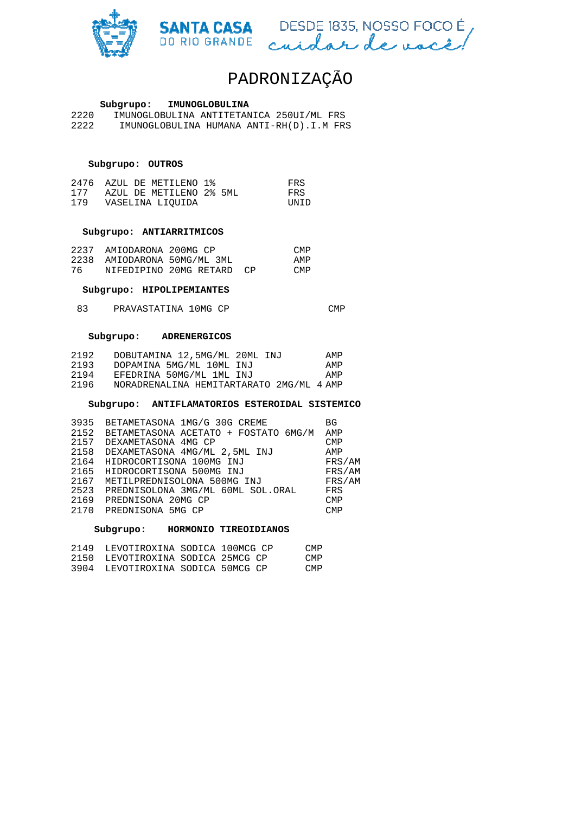



### **Subgrupo: IMUNOGLOBULINA**

2220 IMUNOGLOBULINA ANTITETANICA 250UI/ML FRS<br>2222 IMUNOGLOBULINA HUMANA ANTI-RH(D).I.M FR; 2222 IMUNOGLOBULINA HUMANA ANTI-RH(D).I.M FRS

### **Subgrupo: OUTROS**

|     |  | 2476 AZUL DE METILENO 1% |  | FRS          |
|-----|--|--------------------------|--|--------------|
| 177 |  | AZUL DE METILENO 2% 5ML  |  | FRS          |
| 179 |  | VASELINA LIOUIDA         |  | <b>IINTD</b> |

### **Subgrupo: ANTIARRITMICOS**

|      | 2237 AMIODARONA 200MG CP |                           | CMP        |
|------|--------------------------|---------------------------|------------|
| 2238 |                          | AMIODARONA 50MG/ML 3ML    | AMP        |
| 76   |                          | NIFEDIPINO 20MG RETARD CP | <b>CMP</b> |

#### **Subgrupo: HIPOLIPEMIANTES**

#### 83 PRAVASTATINA 10MG CP CMP

#### **Subgrupo: ADRENERGICOS**

| 2192 | DOBUTAMINA 12,5MG/ML 20ML INJ            | AMP |
|------|------------------------------------------|-----|
| 2193 | DOPAMINA 5MG/ML 10ML INJ                 | AMP |
| 2194 | EFEDRINA 50MG/ML 1ML INJ                 | AMP |
| 2196 | NORADRENALINA HEMITARTARATO 2MG/ML 4 AMP |     |

#### **Subgrupo: ANTIFLAMATORIOS ESTEROIDAL SISTEMICO**

| 3935 | BETAMETASONA 1MG/G 30G CREME         | <b>BG</b>  |
|------|--------------------------------------|------------|
| 2152 | BETAMETASONA ACETATO + FOSTATO 6MG/M | AMP        |
| 2157 | DEXAMETASONA 4MG CP                  | <b>CMP</b> |
| 2158 | DEXAMETASONA 4MG/ML 2,5ML INJ        | AMP        |
| 2164 | HIDROCORTISONA 100MG INJ             | FRS/AM     |
| 2165 | HIDROCORTISONA 500MG INJ             | FRS/AM     |
| 2167 | METILPREDNISOLONA 500MG INJ          | FRS/AM     |
| 2523 | PREDNISOLONA 3MG/ML 60ML SOL.ORAL    | FRS        |
| 2169 | PREDNISONA 20MG CP                   | <b>CMP</b> |
| 2170 | PREDNISONA 5MG CP                    | <b>CMP</b> |
|      |                                      |            |

#### **Subgrupo: HORMONIO TIREOIDIANOS**

| 2149 | LEVOTIROXINA SODICA 100MCG CP |  | <b>CMP</b>      |
|------|-------------------------------|--|-----------------|
| 2150 | LEVOTIROXINA SODICA 25MCG CP  |  | CM <sub>P</sub> |
| 3904 | LEVOTIROXINA SODICA 50MCG CP  |  | <b>CMP</b>      |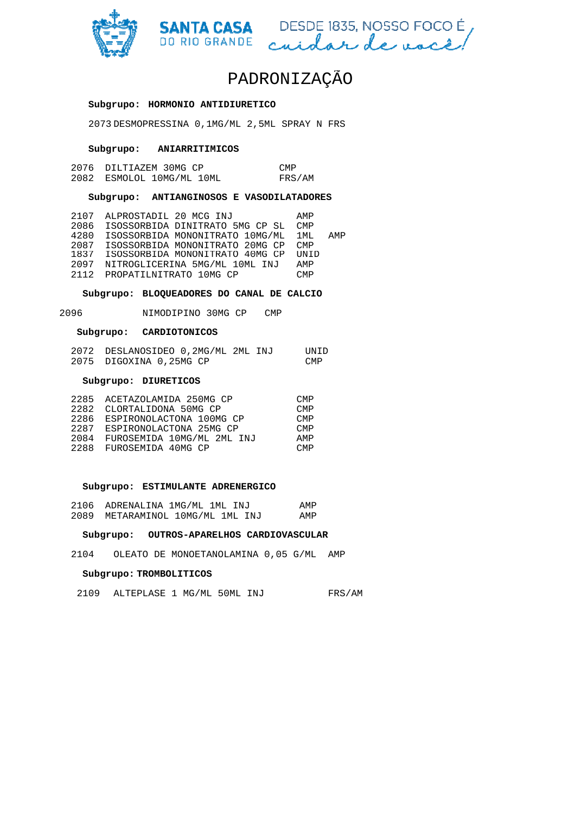



#### **Subgrupo: HORMONIO ANTIDIURETICO**

2073 DESMOPRESSINA 0,1MG/ML 2,5ML SPRAY N FRS<br> **Subgrupo: ANIARRITIMICOS**<br>
2076 DILTIAZEM 30MG CP CMP

#### **Subgrupo: ANIARRITIMICOS**

| 2076 DILTIAZEM 30MG CP    | CMP    |
|---------------------------|--------|
| 2082 ESMOLOL 10MG/ML 10ML | FRS/AM |

### **Subgrupo: ANTIANGINOSOS E VASODILATADORES**

| 2107 | ALPROSTADIL 20 MCG INJ          | AMP   |     |
|------|---------------------------------|-------|-----|
| 2086 | ISOSSORBIDA DINITRATO 5MG CP SL | CMP   |     |
| 4280 | ISOSSORBIDA MONONITRATO 10MG/ML | 1 MT. | AMP |
| 2087 | ISOSSORBIDA MONONITRATO 20MG CP | CMP   |     |
| 1837 | ISOSSORBIDA MONONITRATO 40MG CP | UNID  |     |
| 2097 | NITROGLICERINA 5MG/ML 10ML INJ  | AMP   |     |
| 2112 | PROPATILNITRATO 10MG CP         | CMP   |     |
|      |                                 |       |     |

### **Subgrupo: BLOQUEADORES DO CANAL DE CALCIO**

2096 NIMODIPINO 30MG CP CMP

# **Subgrupo: CARDIOTONICOS**

| 2072 DESLANOSIDEO 0,2MG/ML 2ML INJ | UNID |
|------------------------------------|------|
| 2075 DIGOXINA 0,25MG CP            | CMP. |

### **Subgrupo: DIURETICOS**

|      | 2285 ACETAZOLAMIDA 250MG CP   | CMP.       |
|------|-------------------------------|------------|
| 2282 | CLORTALIDONA 50MG CP          | <b>CMP</b> |
|      | 2286 ESPIRONOLACTONA 100MG CP | CMP        |
|      | 2287 ESPIRONOLACTONA 25MG CP  | <b>CMP</b> |
| 2084 | FUROSEMIDA 10MG/ML 2ML INJ    | AMP        |
|      | 2288 FUROSEMIDA 40MG CP       | CMP        |

#### **Subgrupo: ESTIMULANTE ADRENERGICO**

| 2106 ADRENALINA 1MG/ML 1ML INJ   | AMP |
|----------------------------------|-----|
| 2089 METARAMINOL 10MG/ML 1ML INJ | AMP |

#### **Subgrupo: OUTROS-APARELHOS CARDIOVASCULAR APARELHOS**

2104 OLEATO DE MONOETANOLAMINA 0,05 G/ML AMP

#### **Subgrupo: TROMBOLITICOS**

2109 ALTEPLASE 1 MG/ML 50ML INJ INJ FRS/AM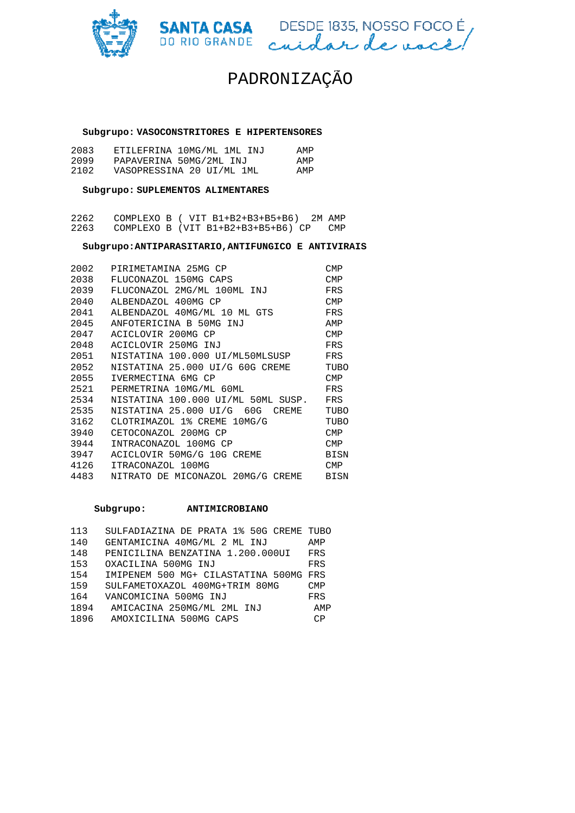



#### **Subgrupo: VASOCONSTRITORES E HIPERTENSORES**

| 2083 | ETILEFRINA 10MG/ML 1ML INJ | AMP |
|------|----------------------------|-----|
| 2099 | PAPAVERINA 50MG/2ML INJ    | AMP |
| 2102 | VASOPRESSINA 20 UI/ML 1ML  | AMP |

### **Subgrupo: SUPLEMENTOS ALIMENTARES**

| 2262 |  | COMPLEXO B ( VIT B1+B2+B3+B5+B6)<br>2M AMP |     |
|------|--|--------------------------------------------|-----|
| 2263 |  | COMPLEXO B (VIT B1+B2+B3+B5+B6) CP         | CMP |

#### **Subgrupo:ANTIPARASITARIO,ANTIFUNGICO E ANTIVIRAIS**

| 2002 | PIRIMETAMINA 25MG CP                      | <b>CMP</b>  |
|------|-------------------------------------------|-------------|
| 2038 | FLUCONAZOL 150MG CAPS                     | <b>CMP</b>  |
| 2039 | FLUCONAZOL 2MG/ML 100ML INJ               | FRS         |
| 2040 | ALBENDAZOL 400MG CP                       | <b>CMP</b>  |
| 2041 | ALBENDAZOL 40MG/ML 10 ML GTS              | FRS         |
| 2045 | ANFOTERICINA B 50MG INJ                   | AMP         |
| 2047 | ACICLOVIR 200MG CP                        | <b>CMP</b>  |
| 2048 | ACICLOVIR 250MG INJ                       | FRS         |
| 2051 | NISTATINA 100.000 UI/ML50MLSUSP           | FRS         |
| 2052 | NISTATINA 25.000 UI/G 60G CREME           | TUBO        |
| 2055 | IVERMECTINA 6MG CP                        | <b>CMP</b>  |
| 2521 | PERMETRINA 10MG/ML 60ML                   | FRS         |
| 2534 | NISTATINA 100.000 UI/ML 50ML SUSP.        | FRS         |
| 2535 | NISTATINA 25.000 UI/G 60G<br><b>CREME</b> | TUBO        |
| 3162 | CLOTRIMAZOL 1% CREME 10MG/G               | TUBO        |
| 3940 | CETOCONAZOL 200MG CP                      | <b>CMP</b>  |
| 3944 | INTRACONAZOL 100MG CP                     | <b>CMP</b>  |
| 3947 | ACICLOVIR 50MG/G 10G CREME                | BISN        |
| 4126 | ITRACONAZOL 100MG                         | <b>CMP</b>  |
| 4483 | NITRATO DE MICONAZOL 20MG/G CREME         | <b>BISN</b> |

#### **Subgrupo: ANTIMICROBIANO**

| 113  | SULFADIAZINA DE PRATA 1% 50G CREME TUBO |            |
|------|-----------------------------------------|------------|
| 140  | GENTAMICINA 40MG/ML 2 ML INJ            | AMP        |
| 148  | PENICILINA BENZATINA 1.200.000UI        | FRS        |
| 153  | OXACILINA 500MG INJ                     | FRS        |
| 154  | IMIPENEM 500 MG+ CILASTATINA 500MG FRS  |            |
| 159  | SULFAMETOXAZOL 400MG+TRIM 80MG          | <b>CMP</b> |
| 164  | VANCOMICINA 500MG INJ                   | FRS        |
| 1894 | AMICACINA 250MG/ML 2ML INJ              | AMP        |
| 1896 | AMOXICILINA 500MG CAPS                  | CP         |